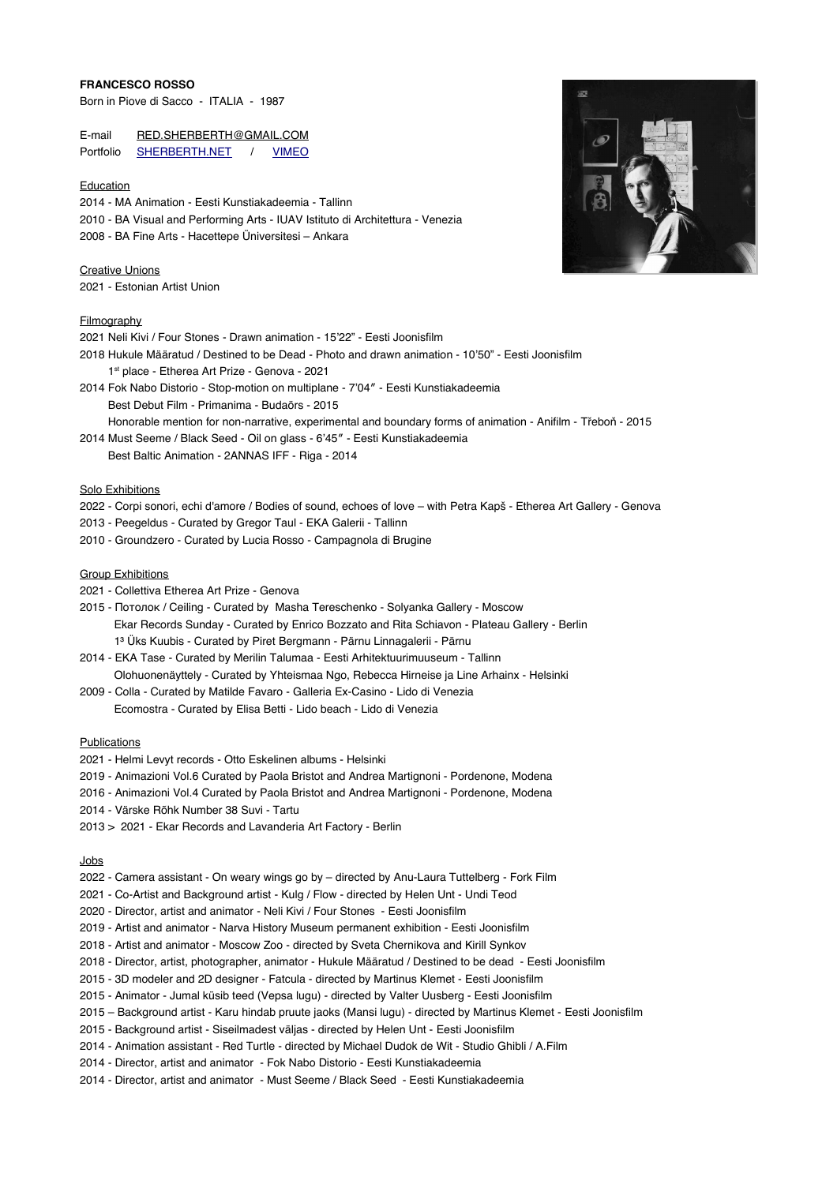## **FRANCESCO ROSSO**

Born in Piove di Sacco - ITALIA - 1987

E-mail [RED.SHERBERTH@GMAIL.COM](mailto:RED.SHERBERTH@GMAIL.COM) Portfolio **SHERBERTH.NET** / [VIMEO](https://vimeo.com/sherberth)

### Education

2014 - MA Animation - Eesti Kunstiakadeemia - Tallinn

- 2010 BA Visual and Performing Arts IUAV Istituto di Architettura Venezia
- 2008 BA Fine Arts Hacettepe Üniversitesi Ankara

Creative Unions 2021 - Estonian Artist Union

### Filmography

- 2021 Neli Kivi / Four Stones Drawn animation 15'22" Eesti Joonisflm
- 2018 Hukule Määratud / Destined to be Dead Photo and drawn animation 10'50" Eesti Joonisflm
- 1st place Etherea Art Prize Genova 2021
- 2014 Fok Nabo Distorio Stop-motion on multiplane 7'04″ Eesti Kunstiakadeemia Best Debut Film - Primanima - Budaörs - 2015
- Honorable mention for non-narrative, experimental and boundary forms of animation Aniflm Třeboň 2015 2014 Must Seeme / Black Seed - Oil on glass - 6'45″ - Eesti Kunstiakadeemia
	- Best Baltic Animation 2ANNAS IFF Riga 2014

# Solo Exhibitions

- 2022 Corpi sonori, echi d'amore / Bodies of sound, echoes of love with Petra Kapš Etherea Art Gallery Genova
- 2013 Peegeldus Curated by Gregor Taul EKA Galerii Tallinn
- 2010 Groundzero Curated by Lucia Rosso Campagnola di Brugine

### Group Exhibitions

- 2021 Collettiva Etherea Art Prize Genova
- 2015 Потолок / Ceiling Curated by Masha Tereschenko Solyanka Gallery Moscow Ekar Records Sunday - Curated by Enrico Bozzato and Rita Schiavon - Plateau Gallery - Berlin 1³ Üks Kuubis - Curated by Piret Bergmann - Pärnu Linnagalerii - Pärnu
- 2014 EKA Tase Curated by Merilin Talumaa Eesti Arhitektuurimuuseum Tallinn Olohuonenäyttely - Curated by Yhteismaa Ngo, Rebecca Hirneise ja Line Arhainx - Helsinki
- 2009 Colla Curated by Matilde Favaro Galleria Ex-Casino Lido di Venezia Ecomostra - Curated by Elisa Betti - Lido beach - Lido di Venezia

#### Publications

- 2021 Helmi Levyt records Otto Eskelinen albums Helsinki
- 2019 Animazioni Vol.6 Curated by Paola Bristot and Andrea Martignoni Pordenone, Modena
- 2016 Animazioni Vol.4 Curated by Paola Bristot and Andrea Martignoni Pordenone, Modena
- 2014 Värske Rõhk Number 38 Suvi Tartu
- 2013 > 2021 Ekar Records and Lavanderia Art Factory Berlin

## Jobs

- 2022 Camera assistant On weary wings go by directed by Anu-Laura Tuttelberg Fork Film
- 2021 Co-Artist and Background artist Kulg / Flow directed by Helen Unt Undi Teod
- 2020 Director, artist and animator Neli Kivi / Four Stones Eesti Joonisflm
- 2019 Artist and animator Narva History Museum permanent exhibition Eesti Joonisflm
- 2018 Artist and animator Moscow Zoo directed by Sveta Chernikova and Kirill Synkov
- 2018 Director, artist, photographer, animator Hukule Määratud / Destined to be dead Eesti Joonisflm
- 2015 3D modeler and 2D designer Fatcula directed by Martinus Klemet Eesti Joonisflm
- 2015 Animator Jumal küsib teed (Vepsa lugu) directed by Valter Uusberg Eesti Joonisflm
- 2015 Background artist Karu hindab pruute jaoks (Mansi lugu) directed by Martinus Klemet Eesti Joonisflm
- 2015 Background artist Siseilmadest väljas directed by Helen Unt Eesti Joonisflm
- 2014 Animation assistant Red Turtle directed by Michael Dudok de Wit Studio Ghibli / A.Film
- 2014 Director, artist and animator Fok Nabo Distorio Eesti Kunstiakadeemia
- 2014 Director, artist and animator Must Seeme / Black Seed Eesti Kunstiakadeemia